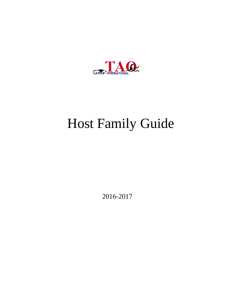

# Host Family Guide

2016-2017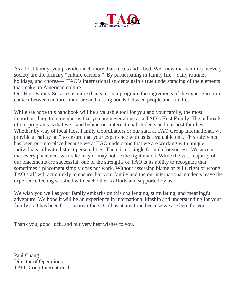

As a host family, you provide much more than meals and a bed. We know that families in every society are the primary "culture carriers." By participating in family life—daily routines, holidays, and chores— TAO's international students gain a true understanding of the elements that make up American culture.

Our Host Family Services is more than simply a program; the ingredients of the experience turn contact between cultures into rare and lasting bonds between people and families.

While we hope this handbook will be a valuable tool for you and your family, the most important thing to remember is that you are never alone as a TAO's Host Family. The hallmark of our programs is that we stand behind our international students and our host families. Whether by way of local Host Family Coordinators or our staff at TAO Group International, we provide a "safety net" to ensure that your experience with us is a valuable one. This safety net has been put into place because we at TAO understand that we are working with unique individuals, all with distinct personalities. There is no single formula for success. We accept that every placement we make may or may not be the right match. While the vast majority of our placements are successful, one of the strengths of TAO is its ability to recognize that sometimes a placement simply does not work. Without assessing blame or guilt, right or wrong, TAO staff will act quickly to ensure that your family and the our international students leave the experience feeling satisfied with each other's efforts and supported by us.

We wish you well as your family embarks on this challenging, stimulating, and meaningful adventure. We hope it will be an experience in international kinship and understanding for your family as it has been for so many others. Call us at any time because we are here for you.

Thank you, good luck, and our very best wishes to you.

Paul Chang Director of Operations TAO Group International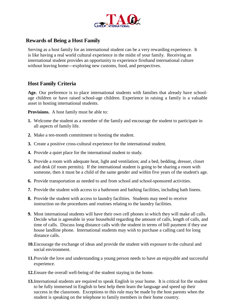

#### **Rewards of Being a Host Family**

Serving as a host family for an international student can be a very rewarding experience. It is like having a real world cultural experience in the midst of your family. Receiving an international student provides an opportunity to experience firsthand international culture without leaving home---exploring new customs, food, and perspectives.

#### **Host Family Criteria**

**Age.** Our preference is to place international students with families that already have schoolage children or have raised school-age children. Experience in raising a family is a valuable asset in hosting international students.

**Provisions.** A host family must be able to:

- **1.** Welcome the student as a member of the family and encourage the student to participate in all aspects of family life.
- **2.** Make a ten-month commitment to hosting the student.
- **3.** Create a positive cross-cultural experience for the international student.
- **4.** Provide a quiet place for the international student to study.
- **5.** Provide a room with adequate heat, light and ventilation; and a bed, bedding, dresser, closet and desk (if room permits). If the international student is going to be sharing a room with someone, then it must be a child of the same gender and within five years of the student's age.
- **6.** Provide transportation as needed to and from school and school-sponsored activities.
- **7.** Provide the student with access to a bathroom and bathing facilities, including bath linens.
- **8.** Provide the student with access to laundry facilities. Students may need to receive instruction on the procedures and routines relating to the laundry facilities.
- **9.** Most international students will have their own cell phones in which they will make all calls. Decide what is agreeable in your household regarding the amount of calls, length of calls, and time of calls. Discuss long distance calls with the student in terms of bill payment if they use house landline phone. International students may wish to purchase a calling card for long distance calls.
- **10.**Encourage the exchange of ideas and provide the student with exposure to the cultural and social environment.
- **11.**Provide the love and understanding a young person needs to have an enjoyable and successful experience.
- **12.**Ensure the overall well-being of the student staying in the home.
- **13.**International students are required to speak English in your home. It is critical for the student to be fully immersed in English to best help them learn the language and speed up their success in the classroom. Exceptions to this rule may be made by the host parents when the student is speaking on the telephone to family members in their home country.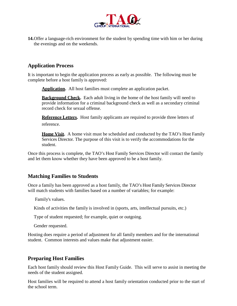

**14.**Offer a language-rich environment for the student by spending time with him or her during the evenings and on the weekends.

#### **Application Process**

It is important to begin the application process as early as possible. The following must be complete before a host family is approved:

**Application.** All host families must complete an application packet.

**Background Check.** Each adult living in the home of the host family will need to provide information for a criminal background check as well as a secondary criminal record check for sexual offense.

**Reference Letters.** Host family applicants are required to provide three letters of reference.

**Home Visit.** A home visit must be scheduled and conducted by the TAO's Host Family Services Director. The purpose of this visit is to verify the accommodations for the student.

Once this process is complete, the TAO's Host Family Services Director will contact the family and let them know whether they have been approved to be a host family.

#### **Matching Families to Students**

Once a family has been approved as a host family, the TAO's Host Family Services Director will match students with families based on a number of variables; for example:

Family's values.

Kinds of activities the family is involved in (sports, arts, intellectual pursuits, etc.)

Type of student requested; for example, quiet or outgoing.

Gender requested.

Hosting does require a period of adjustment for all family members and for the international student. Common interests and values make that adjustment easier.

#### **Preparing Host Families**

Each host family should review this Host Family Guide. This will serve to assist in meeting the needs of the student assigned.

Host families will be required to attend a host family orientation conducted prior to the start of the school term.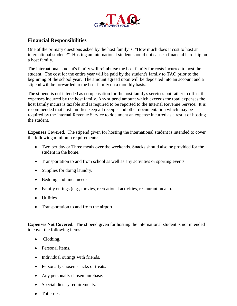

#### **Financial Responsibilities**

One of the primary questions asked by the host family is, "How much does it cost to host an international student?" Hosting an international student should not cause a financial hardship on a host family.

The international student's family will reimburse the host family for costs incurred to host the student. The cost for the entire year will be paid by the student's family to TAO prior to the beginning of the school year. The amount agreed upon will be deposited into an account and a stipend will be forwarded to the host family on a monthly basis.

The stipend is not intended as compensation for the host family's services but rather to offset the expenses incurred by the host family. Any stipend amount which exceeds the total expenses the host family incurs is taxable and is required to be reported to the Internal Revenue Service. It is recommended that host families keep all receipts and other documentation which may be required by the Internal Revenue Service to document an expense incurred as a result of hosting the student.

**Expenses Covered.** The stipend given for hosting the international student is intended to cover the following minimum requirements:

- Two per day or Three meals over the weekends. Snacks should also be provided for the student in the home.
- Transportation to and from school as well as any activities or sporting events.
- Supplies for doing laundry.
- Bedding and linen needs.
- Family outings (e.g., movies, recreational activities, restaurant meals).
- Utilities.
- Transportation to and from the airport.

**Expenses Not Covered.** The stipend given for hosting the international student is not intended to cover the following items:

- Clothing.
- Personal Items.
- Individual outings with friends.
- Personally chosen snacks or treats.
- Any personally chosen purchase.
- Special dietary requirements.
- Toiletries.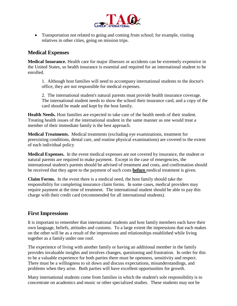

• Transportation not related to going and coming from school; for example, visiting relatives in other cities, going on mission trips.

#### **Medical Expenses**

**Medical Insurance.** Health care for major illnesses or accidents can be extremely expensive in the United States, so health insurance is essential and required for an international student to be enrolled.

1. Although host families will need to accompany international students to the doctor's office, they are not responsible for medical expenses.

2. The international student's natural parents must provide health insurance coverage. The international student needs to show the school their insurance card, and a copy of the card should be made and kept by the host family.

**Health Needs.** Host families are expected to take care of the health needs of their student. Treating health issues of the international student in the same manner as one would treat a member of their immediate family is the best approach.

**Medical Treatments.** Medical treatments (excluding eye examinations, treatment for preexisting conditions, dental care, and routine physical examinations) are covered to the extent of each individual policy

**Medical Expenses.** In the event medical expenses are not covered by insurance, the student or natural parents are required to make payment. Except in the case of emergencies, the international student's parents should be advised of treatment and costs, and confirmation should be received that they agree to the payment of such costs **before** medical treatment is given.

**Claim Forms.** In the event there is a medical need, the host family should take the responsibility for completing insurance claim forms. In some cases, medical providers may require payment at the time of treatment. The international student should be able to pay this charge with their credit card (recommended for all international students).

## **First Impressions**

It is important to remember that international students and host family members each have their own language, beliefs, attitudes and customs. To a large extent the impressions that each makes on the other will be as a result of the impressions and relationships established while living together as a family under one roof.

The experience of living with another family or having an additional member in the family provides invaluable insights and involves changes, questioning and frustration. In order for this to be a valuable experience for both parties there must be openness, sensitivity and respect. There must be a willingness to sit down and discuss expectations, misunderstandings, and problems when they arise. Both parties will have excellent opportunities for growth.

Many international students come from families in which the student's sole responsibility is to concentrate on academics and music or other specialized studies. These students may not be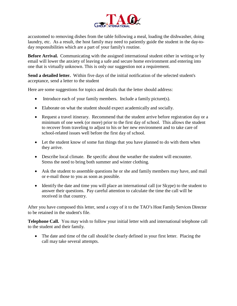

accustomed to removing dishes from the table following a meal, loading the dishwasher, doing laundry, etc. As a result, the host family may need to patiently guide the student in the day-today responsibilities which are a part of your family's routine.

**Before Arrival.** Communicating with the assigned international student either in writing or by email will lower the anxiety of leaving a safe and secure home environment and entering into one that is virtually unknown. This is only our suggestion not a requirement.

**Send a detailed letter.** Within five days of the initial notification of the selected student's acceptance, send a letter to the student

Here are some suggestions for topics and details that the letter should address:

- Introduce each of your family members. Include a family picture(s).
- Elaborate on what the student should expect academically and socially.
- Request a travel itinerary. Recommend that the student arrive before registration day or a minimum of one week (or more) prior to the first day of school. This allows the student to recover from traveling to adjust to his or her new environment and to take care of school-related issues well before the first day of school.
- Let the student know of some fun things that you have planned to do with them when they arrive.
- Describe local climate. Be specific about the weather the student will encounter. Stress the need to bring both summer and winter clothing.
- Ask the student to assemble questions he or she and family members may have, and mail or e-mail those to you as soon as possible.
- Identify the date and time you will place an international call (or Skype) to the student to answer their questions. Pay careful attention to calculate the time the call will be received in that country.

After you have composed this letter, send a copy of it to the TAO's Host Family Services Director to be retained in the student's file.

**Telephone Call.** You may wish to follow your initial letter with and international telephone call to the student and their family.

• The date and time of the call should be clearly defined in your first letter. Placing the call may take several attempts.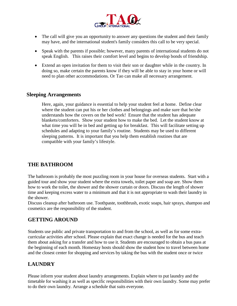

- The call will give you an opportunity to answer any questions the student and their family may have, and the international student's family considers this call to be very special.
- Speak with the parents if possible; however, many parents of international students do not speak English. This raises their comfort level and begins to develop bonds of friendship.
- Extend an open invitation for them to visit their son or daughter while in the country. In doing so, make certain the parents know if they will be able to stay in your home or will need to plan other accommodations. Or Tao can make all necessary arrangement.

#### **Sleeping Arrangements**

Here, again, your guidance is essential to help your student feel at home. Define clear where the student can put his or her clothes and belongings and make sure that he/she understands how the covers on the bed work! Ensure that the student has adequate blankets/comforters. Show your student how to make the bed. Let the student know at what time you will be in bed and getting up for breakfast. This will facilitate setting up schedules and adapting to your family's routine. Students may be used to different sleeping patterns. It is important that you help them establish routines that are compatible with your family's lifestyle.

#### **THE BATHROOM**

The bathroom is probably the most puzzling room in your house for overseas students. Start with a guided tour and show your student where the extra towels, toilet paper and soap are. Show them how to work the toilet, the shower and the shower curtain or doors. Discuss the length of shower time and keeping excess water to a minimum and that it is not appropriate to wash their laundry in the shower.

Discuss cleanup after bathroom use. Toothpaste, toothbrush, exotic soaps, hair sprays, shampoo and cosmetics are the responsibility of the student.

#### **GETTING AROUND**

Students use public and private transportation to and from the school, as well as for some extracurricular activities after school. Please explain that exact change is needed for the bus and teach them about asking for a transfer and how to use it. Students are encouraged to obtain a bus pass at the beginning of each month. Homestay hosts should show the student how to travel between home and the closest center for shopping and services by taking the bus with the student once or twice

## **LAUNDRY**

Please inform your student about laundry arrangements. Explain where to put laundry and the timetable for washing it as well as specific responsibilities with their own laundry. Some may prefer to do their own laundry. Arrange a schedule that suits everyone.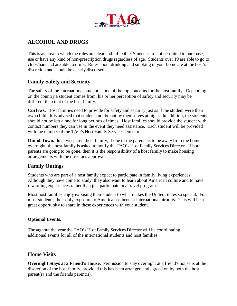

## **ALCOHOL AND DRUGS**

This is an area in which the rules are clear and inflexible. Students are not permitted to purchase, use or have any kind of non-prescription drugs regardless of age. Students over 19 are able to go to clubs/bars and are able to drink. Rules about drinking and smoking in your home are at the host's discretion and should be clearly discussed.

#### **Family Safety and Security**

The safety of the international student is one of the top concerns for the host family. Depending on the country a student comes from, his or her perception of safety and security may be different than that of the host family.

**Curfews.** Host families need to provide for safety and security just as if the student were their own child. It is advised that students not be out by themselves at night. In addition, the students should not be left alone for long periods of times. Host families should provide the student with contact numbers they can use in the event they need assistance. Each student will be provided with the number of the TAO's Host Family Services Director.

**Out of Town.** In a two-parent host family, if one of the parents is to be away from the home overnight, the host family is asked to notify the TAO's Host Family Services Director. If both parents are going to be gone, then it is the responsibility of a host family to make housing arrangements with the director's approval.

## **Family Outings**

Students who are part of a host family expect to participate in family living experiences. Although they have come to study, they also want to learn about American culture and to have rewarding experiences rather than just participate in a travel program.

Most host families enjoy exposing their student to what makes the United States so special. For most students, their only exposure to America has been at international airports. This will be a great opportunity to share in these experiences with your student.

#### **Optional Events.**

Throughout the year the TAO's Host Family Services Director will be coordinating additional events for all of the international students and host families.

#### **Home Visits**

**Overnight Stays at a Friend's House.** Permission to stay overnight at a friend's house is at the discretion of the host family, provided this has been arranged and agreed on by both the host parent(s) and the friends parent(s).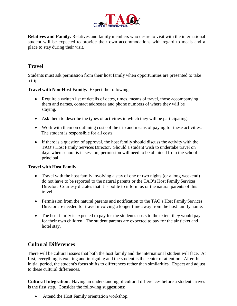

**Relatives and Family.** Relatives and family members who desire to visit with the international student will be expected to provide their own accommodations with regard to meals and a place to stay during their visit.

## **Travel**

Students must ask permission from their host family when opportunities are presented to take a trip.

**Travel with Non-Host Family.** Expect the following:

- Require a written list of details of dates, times, means of travel, those accompanying them and names, contact addresses and phone numbers of where they will be staying.
- Ask them to describe the types of activities in which they will be participating.
- Work with them on outlining costs of the trip and means of paying for these activities. The student is responsible for all costs.
- If there is a question of approval, the host family should discuss the activity with the TAO's Host Family Services Director. Should a student wish to undertake travel on days when school is in session, permission will need to be obtained from the school principal.

#### **Travel with Host Family.**

- Travel with the host family involving a stay of one or two nights (or a long weekend) do not have to be reported to the natural parents or the TAO's Host Family Services Director. Courtesy dictates that it is polite to inform us or the natural parents of this travel.
- Permission from the natural parents and notification to the TAO's Host Family Services Director are needed for travel involving a longer time away from the host family home.
- The host family is expected to pay for the student's costs to the extent they would pay for their own children. The student parents are expected to pay for the air ticket and hotel stay.

## **Cultural Differences**

There will be cultural issues that both the host family and the international student will face. At first, everything is exciting and intriguing and the student is the center of attention. After this initial period, the student's focus shifts to differences rather than similarities. Expect and adjust to these cultural differences.

**Cultural Integration.** Having an understanding of cultural differences before a student arrives is the first step. Consider the following suggestions:

• Attend the Host Family orientation workshop.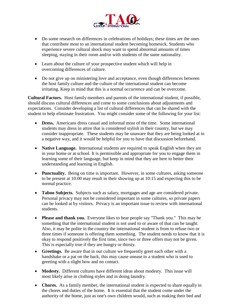

- Do some research on differences in celebrations of holidays; these times are the ones that contribute most to an international student becoming homesick. Students who experience severe cultural shock may want to spend abnormal amounts of times sleeping, staying in their room and/or with students of the same nationality.
- Learn about the culture of your prospective student which will help in overcoming differences of culture.
- Do not give up on ministering love and acceptance, even though differences between the host family culture and the culture of the international student can become irritating. Keep in mind that this is a normal occurrence and can be overcome.

**Cultural Factors.** Host family members and parents of the international student, if possible, should discuss cultural differences and come to some conclusions about adjustments and expectations. Consider developing a list of cultural differences that can be shared with the student to help eliminate frustration. You might consider some of the following for your list:

- **Dress.** Americans dress casual and informal most of the time. Some international students may dress in attire that is considered stylish in their country, but we may consider inappropriate. These students may be unaware that they are being looked at in a negative way, and it would be helpful for you to have that discussion beforehand.
- **Native Language.** International students are required to speak English when they are in your home or at school. It is permissible and appropriate for you to engage them in learning some of their language, but keep in mind that they are here to better their understanding and learning in English.
- **Punctuality.** Being on time is important. However, in some cultures, asking someone to be present at 10:00 may result in their showing up at 10:15 and expecting this to be normal practice.
- **Taboo Subjects.** Subjects such as salary, mortgages and age are considered private. Personal privacy may not be considered important in some cultures, so private papers can be looked at by visitors. Privacy is an important issue to review with international students.
- **Please and thank you.** Everyone likes to hear people say "Thank you." This may be something that the international student is not used to or aware of that can be taught. Also, it may be polite in the country the international student is from to refuse two or three times if someone is offering them something. The student needs to know that it is okay to respond positively the first time, since two or three offers may not be given. This is especially true if they are hungry or thirsty.
- **Greetings.** Be aware that in our culture we frequently greet each other with a handshake or a pat on the back, this may cause unease to a student who is used to greeting with a slight bow and no contact.
- **Modesty.** Different cultures have different ideas about modesty. This issue will most likely arise in clothing styles and in doing laundry.
- **Chores.** As a family member, the international student is expected to share equally in the chores and duties of the home. It is essential that the student come under the authority of the home, just as one's own children would, such as making their bed and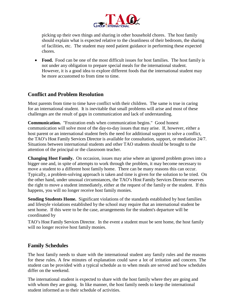

picking up their own things and sharing in other household chores. The host family should explain what is expected relative to the cleanliness of their bedroom, the sharing of facilities, etc. The student may need patient guidance in performing these expected chores.

• **Food.** Food can be one of the most difficult issues for host families. The host family is not under any obligation to prepare special meals for the international student. However, it is a good idea to explore different foods that the international student may be more accustomed to from time to time.

#### **Conflict and Problem Resolution**

Most parents from time to time have conflict with their children. The same is true in caring for an international student. It is inevitable that small problems will arise and most of these challenges are the result of gaps in communication and lack of understanding.

**Communication.** "Frustration ends when communication begins." Good honest communication will solve most of the day-to-day issues that may arise. If, however, either a host parent or an international student feels the need for additional support to solve a conflict, the TAO's Host Family Services Director is available for consultation, support, or mediation 24/7. Situations between international students and other TAO students should be brought to the attention of the principal or the classroom teacher.

**Changing Host Family.** On occasion, issues may arise where an ignored problem grows into a bigger one and, in spite of attempts to work through the problem, it may become necessary to move a student to a different host family home. There can be many reasons this can occur. Typically, a problem-solving approach is taken and time is given for the solution to be tried. On the other hand, under unusual circumstances, the TAO's Host Family Services Director reserves the right to move a student immediately, either at the request of the family or the student. If this happens, you will no longer receive host family monies.

**Sending Students Home.** Significant violations of the standards established by host families and lifestyle violations established by the school may require that an international student be sent home. If this were to be the case, arrangements for the student's departure will be coordinated by

TAO's Host Family Services Director. In the event a student must be sent home, the host family will no longer receive host family monies.

#### **Family Schedules**

The host family needs to share with the international student any family rules and the reasons for these rules. A few minutes of explanation could save a lot of irritation and concern. The student can be provided with a typical schedule as to when meals are served and how schedules differ on the weekend.

The international student is expected to share with the host family where they are going and with whom they are going. In like manner, the host family needs to keep the international student informed as to their schedule of activities.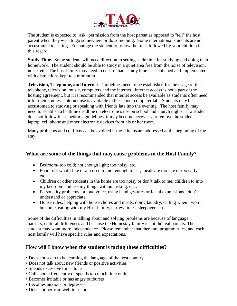

The student is expected to "ask" permission from the host parent as opposed to "tell" the host parent when they wish to go somewhere or do something. Some international students are not accustomed to asking. Encourage the student to follow the rules followed by your children in this regard.

**Study Time.** Some students will need direction in setting aside time for studying and doing their homework. The student should be able to study in a quiet area free from the noise of television, noise, etc. The host family may need to ensure that a study time is established and implemented with distractions kept to a minimum.

**Television, Telephone, and Internet**. Guidelines need to be established for the usage of the telephone, television, music, computers and the internet. Internet access is not a part of the hosting agreement, but it is recommended that internet access be available as students often need it for their studies. Internet use is available in the school computer lab. Students may be accustomed to studying or speaking with friends late into the evening. The host family may need to establish a bedtime deadline on electronics use on school and church nights. If a student does not follow these bedtime guidelines, it may become necessary to remove the student's laptop, cell phone and other electronic devices from his or her room.

Many problems and conflicts can be avoided if these items are addressed at the beginning of the stay.

#### **What are some of the things that may cause problems in the Host Family?**

- Bedroom- too cold; not enough light; too noisy, etc.;
- Food- not what I like or am used to; not enough to eat; meals are too late or too early, etc.;
- Children or other students in the home are too noisy or don't talk to me; children to into my bedroom and use my things without asking, etc.;
- Personality problems a loud voice, using hand gestures or facial expressions I don't understand or appreciate;
- House rules: helping with house chores and meals, doing laundry, calling when I won't be home, eating with my Host family, curfew times, sleepovers etc.

Some of the difficulties in talking about and solving problems are because of language barriers, cultural differences and because the Homestay family is not the real parents. The student may want more independence. Please remember that there are program rules, and each host family will have specific rules and expectations.

#### **How will I know when the student is facing these difficulties?**

- Does not seem to be learning the language of the host country
- Does not talk about new friends or positive activities
- Spends excessive time alone
- Calls home frequently or spends too much time online
- Becomes irritable or has angry outbursts
- Becomes anxious or depressed
- Does not perform well in school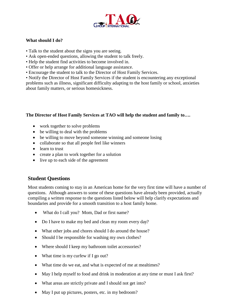

#### **What should I do?**

- Talk to the student about the signs you are seeing.
- Ask open-ended questions, allowing the student to talk freely.
- Help the student find activities to become involved in.
- Offer or help arrange for additional language assistance.
- Encourage the student to talk to the Director of Host Family Services.

• Notify the Director of Host Family Services if the student is encountering any exceptional problems such as illness, significant difficulty adapting to the host family or school, anxieties about family matters, or serious homesickness.

#### **The Director of Host Family Services at TAO will help the student and family to….**

- work together to solve problems
- be willing to deal with the problems
- be willing to move beyond someone winning and someone losing
- collaborate so that all people feel like winners
- learn to trust
- create a plan to work together for a solution
- live up to each side of the agreement

#### **Student Questions**

Most students coming to stay in an American home for the very first time will have a number of questions. Although answers to some of these questions have already been provided, actually compiling a written response to the questions listed below will help clarify expectations and boundaries and provide for a smooth transition to a host family home.

- What do I call you? Mom, Dad or first name?
- Do I have to make my bed and clean my room every day?
- What other jobs and chores should I do around the house?
- Should I be responsible for washing my own clothes?
- Where should I keep my bathroom toilet accessories?
- What time is my curfew if I go out?
- What time do we eat, and what is expected of me at mealtimes?
- May I help myself to food and drink in moderation at any time or must I ask first?
- What areas are strictly private and I should not get into?
- May I put up pictures, posters, etc. in my bedroom?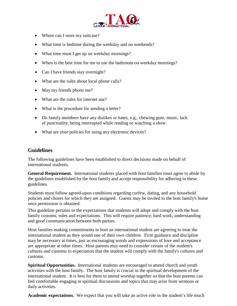

- Where can I store my suitcase?
- What time is bedtime during the weekday and on weekends?
- What time must I get up on weekday mornings?
- When is the best time for me to use the bathroom on weekday mornings?
- Can I have friends stay overnight?
- What are the rules about local phone calls?
- May my friends phone me?
- What are the rules for internet use?
- What is the procedure for sending a letter?
- Do family members have any dislikes or hates, e.g., chewing gum, music, lack of punctuality, being interrupted while reading or watching a show.
- What are your policies for using any electronic devices?

#### **Guidelines**

The following guidelines have been established to direct decisions made on behalf of international students.

General Requirement. International students placed with host families must agree to abide by the guidelines established by the host family and accept responsibility for adhering to these guidelines.

Students must follow agreed-upon conditions regarding curfew, dating, and any household policies and chores for which they are assigned. Guests may be invited to the host family's home once permission is obtained.

This guideline pertains to the expectations that students will adopt and comply with the host family customs, rules and expectations. This will require patience, hard work, understanding and good communication between both parties.

Host families making commitments to host an international student are agreeing to treat the international student as they would one of their own children. Firm guidance and discipline may be necessary at times, just as encouraging words and expressions of love and acceptance are appropriate at other times. Host parents may need to consider certain of the student's cultures and customs in expectation that the student will comply with the family's cultures and customs.

**Spiritual Opportunities.** International students are encouraged to attend church and youth activities with the host family. The host family is crucial in the spiritual development of the international student. It is best for them to attend worship together so that the host parents can feel comfortable engaging in spiritual discussions and topics that may arise from sermons or daily activities.

**Academic expectations.** We expect that you will take an active role in the student's life much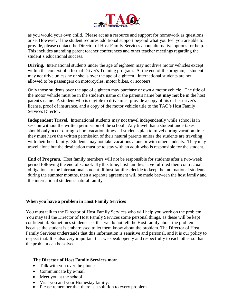

as you would your own child. Please act as a resource and support for homework as questions arise. However, if the student requires additional support beyond what you feel you are able to provide, please contact the Director of Host Family Services about alternative options for help. This includes attending parent teacher conferences and other teacher meetings regarding the student's educational success.

**Driving.** International students under the age of eighteen may not drive motor vehicles except within the context of a formal Driver's Training program. At the end of the program, a student may not drive unless he or she is over the age of eighteen. International students are not allowed to be passengers on motorcycles, motor bikes, or scooters.

Only those students over the age of eighteen may purchase or own a motor vehicle. The title of the motor vehicle must be in the student's name or the parent's name but **may not be** in the host parent's name. A student who is eligible to drive must provide a copy of his or her driver's license, proof of insurance, and a copy of the motor vehicle title to the TAO's Host Family Services Director.

**Independent Travel.** International students may not travel independently while school is in session without the written permission of the school. Any travel that a student undertakes should only occur during school vacation times. If students plan to travel during vacation times they must have the written permission of their natural parents unless the students are traveling with their host family. Students may not take vacations alone or with other students. They may travel alone but the destination must be to stay with an adult who is responsible for the student.

**End of Program.** Host family members will not be responsible for students after a two-week period following the end of school. By this time, host families have fulfilled their contractual obligations to the international student. If host families decide to keep the international students during the summer months, then a separate agreement will be made between the host family and the international student's natural family.

#### **When you have a problem in Host Family Services**

You must talk to the Director of Host Family Services who will help you work on the problem. You may tell the Director of Host Family Services some personal things, as these will be kept confidential. Sometimes students ask that we do not tell the Host family about the problem because the student is embarrassed to let them know about the problem. The Director of Host Family Services understands that this information is sensitive and personal, and it is our policy to respect that. It is also very important that we speak openly and respectfully to each other so that the problem can be solved.

#### **The Director of Host Family Services may:**

- Talk with you over the phone.
- Communicate by e-mail
- Meet you at the school
- 
- Visit you and your Homestay family.<br>• Please remember that there is a solution to every problem.